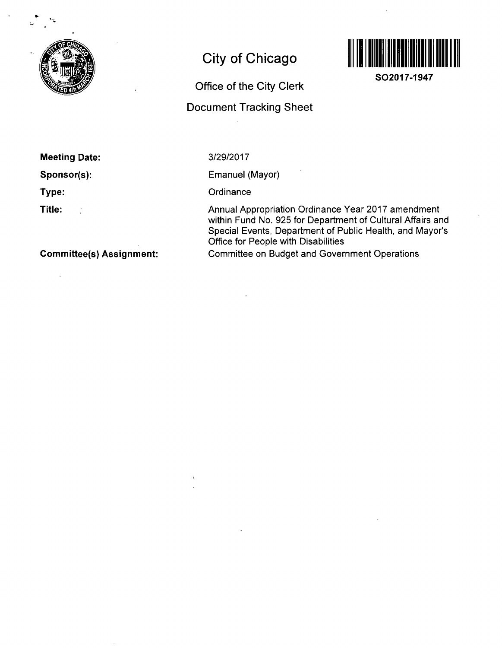

# **City of Chicago**

### **Office of the City Clerk**

## **Document Tracking Sheet**



**SO2017-1947** 

#### **Meeting Date:**

**Sponsor(s):** 

**Type:** 

**Title:**   $\frac{1}{2}$  3/29/2017

Emanuel (Mayor)

**Ordinance** 

Annual Appropriation Ordinance Year 2017 amendment within Fund No. 925 for Department of Cultural Affairs and Special Events, Department of Public Health, and Mayor's Office for People with Disabilities Committee on Budget and Government Operations

**Committee(s) Assignment:**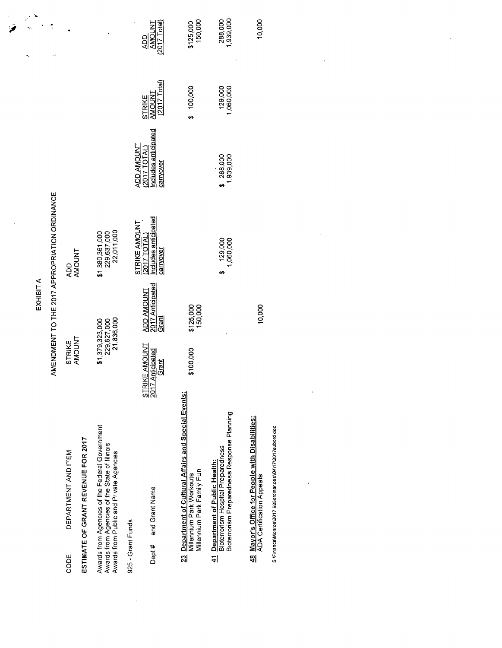|                                                                                                                                            |                                                                   | EXHIBIT A                                      |                                                                  |                                                                      |                                                          |                                                |
|--------------------------------------------------------------------------------------------------------------------------------------------|-------------------------------------------------------------------|------------------------------------------------|------------------------------------------------------------------|----------------------------------------------------------------------|----------------------------------------------------------|------------------------------------------------|
|                                                                                                                                            |                                                                   |                                                | AMENDMENT TO THE 2017 APPROPRIATION ORDINANCE                    |                                                                      |                                                          | ÷,                                             |
| DEPARTMENT AND ITEM<br>CODE                                                                                                                | <b>AMOUNT</b><br>STRIKE                                           |                                                | <b>AMOUNT</b><br>QQ                                              |                                                                      |                                                          |                                                |
| ESTIMATE OF GRANT REVENUE FOR 2017                                                                                                         |                                                                   |                                                |                                                                  |                                                                      |                                                          |                                                |
| Awards from Agencies of the Federal Government<br>Awards from Agencies of the State of Illinois<br>Awards from Public and Private Agencies | \$1,379,323,000<br>229,627,000                                    | 21,836,000                                     | 22,011,000<br>\$1,380,361,000<br>229,637,000                     |                                                                      |                                                          |                                                |
| and Grant Name<br>925 - Grant Funds<br>Dept#                                                                                               | RIKE A <u>MO</u> UNT<br>STRIKE AMOUN<br>2017 Anticipated<br>Grant | <b>ADD AMOUNT</b><br>2017 Anticipated<br>Grant | ncludes anticipated<br>STRIKE AMOUNT<br>2017 TOTAL)<br>carryover | ncludes anticipated<br><b>THUONA OOA</b><br>(2017TOTAL)<br>carryover | $(2017 \text{ Total})$<br><b>AMOUNT</b><br><b>STRIKE</b> | <b>AMOUNT</b><br>$(2017$ Total)<br>$rac{1}{2}$ |
| Department of Cultural Affairs and Special Events:<br>Millennium Park Family Fun<br>Millennium Park Workouts<br>$\mathbb{Z}$               | \$100,000                                                         | \$125,000<br>150,000                           |                                                                  |                                                                      | \$ 100,000                                               | \$125,000<br>150,000                           |
| Bioterrorism Preparedness Response Planning<br><b>Department of Public Health:</b><br>Bioterrorism Hospital Preparedness<br>싀              |                                                                   |                                                | 129,000<br>1,060,000<br>69                                       | \$ 288,000<br>1,939,000                                              | 129,000<br>1,060,000                                     | 288,000<br>1,939,000                           |
| 48 Mayor's Office for People with Disabilities:<br>ADA Certification Appeals                                                               |                                                                   | 10,000                                         |                                                                  |                                                                      |                                                          | 10,000                                         |
| S \Finance\Monroe\2017 925ordinances\04\17\2017subord doc                                                                                  |                                                                   |                                                |                                                                  |                                                                      |                                                          |                                                |
|                                                                                                                                            |                                                                   |                                                |                                                                  |                                                                      |                                                          |                                                |
|                                                                                                                                            |                                                                   |                                                |                                                                  |                                                                      |                                                          |                                                |
|                                                                                                                                            |                                                                   |                                                |                                                                  |                                                                      |                                                          |                                                |
|                                                                                                                                            |                                                                   |                                                |                                                                  |                                                                      |                                                          |                                                |

 $\label{eq:2.1} \mathcal{L}(\mathcal{L}^{\text{max}}_{\mathcal{L}}(\mathcal{L}^{\text{max}}_{\mathcal{L}})) \leq \mathcal{L}(\mathcal{L}^{\text{max}}_{\mathcal{L}}(\mathcal{L}^{\text{max}}_{\mathcal{L}}))$ 

 $\mathcal{L}^{\text{max}}_{\text{max}}$ 

 $\hat{\mathcal{O}}$ 

i,

 $\mathcal{L}_{\mathcal{A}}$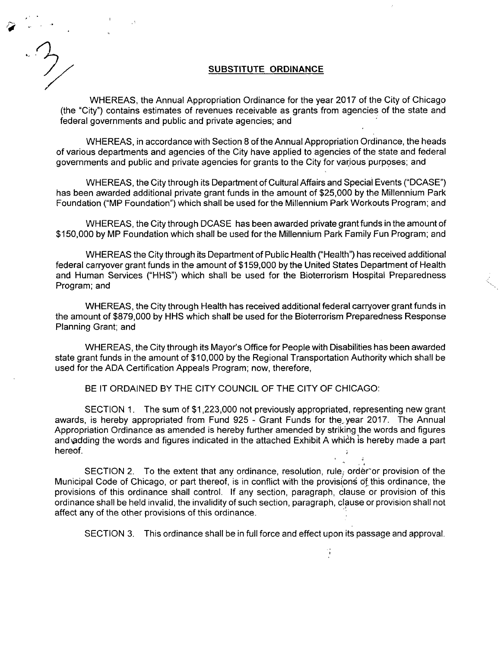#### **SUBSTITUTE ORDINANCE**

WHEREAS, the Annual Appropriation Ordinance for the year 2017 of the City of Chicago (the "City") contains estimates of revenues receivable as grants from agencies of the state and federal governments and public and private agencies; and

WHEREAS, in accordance with Section 8 of the Annual Appropriation Ordinance, the heads of various departments and agencies of the City have applied to agencies of the state and federal governments and public and private agencies for grants to the City for various purposes; and

WHEREAS, the City through its Department of Cultural Affairs and Special Events ("DCASE") has been awarded additional private grant funds in the amount of \$25,000 by the Millennium Park Foundation ("MP Foundation") which shall be used forthe Millennium Park Workouts Program; and

WHEREAS, the City through DCASE has been awarded private grant funds in the amount of \$150,000 by MP Foundation which shall be used forthe Millennium Park Family Fun Program; and

WHEREAS the City through its Department of Public Health ("Health") has received additional federal carryover grant funds in the amount of \$159,000 by the United States Department of Health and Human Services ("HHS") which shall be used for the Bioterrorism Hospital Preparedness Program; and

WHEREAS, the City through Health has received additional federal carryover grant funds in the amount of \$879,000 by HHS which shall be used forthe Bioterrorism Preparedness Response Planning Grant; and

WHEREAS, the City through its Mayor's Office for People with Disabilities has been awarded state grant funds in the amount of \$10,000 by the Regional Transportation Authority which shall be used for the ADA Certification Appeals Program; now, therefore,

BE IT ORDAINED BY THE CITY COUNCIL OF THE CITY OF CHICAGO:

SECTION 1. The sum of \$1,223,000 not previously appropriated, representing new grant awards, is hereby appropriated from Fund 925 - Grant Funds for the. year 2017. The Annual Appropriation Ordinance as amended is hereby further amended by striking the words and figures and adding the words and figures indicated in the attached Exhibit A which is hereby made a part hereof. ;

SECTION 2. To the extent that any ordinance, resolution, rule, order or provision of the Municipal Code of Chicago, or part thereof, is in conflict with the provisions of this ordinance, the provisions of this ordinance shall control. If any section, paragraph, clause or provision of this ordinance shall be held invalid, the invalidity of such section, paragraph, clause or provision shall not affect any of the other provisions of this ordinance.

SECTION 3. This ordinance shall be in full force and effect upon its passage and approval.

 $\ddot{\phantom{a}}$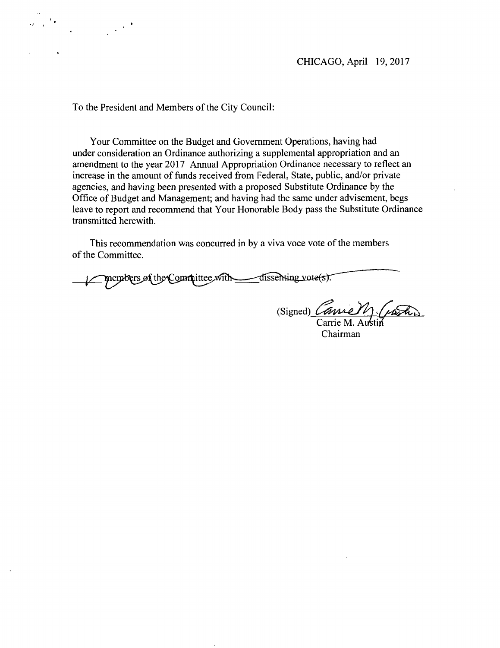To the President and Members of the City Council:

Your Committee on the Budget and Govemment Operations, having had under consideration an Ordinance authorizing a supplemental appropriation and an amendment to the year 2017 Annual Appropriation Ordinance necessary to reflect an increase in the amount of funds received from Federal, State, public, and/or private agencies, and having been presented with a proposed Substitute Ordinance by the Office of Budget and Management; and having had the same under advisement, begs leave to report and recommend that Your Honorable Body pass the Substitute Ordinance transmitted herewith.

This recommendation was concurred in by a viva voce vote of the members of the Committee.

members of the Committee with  $\overline{\text{disschting vote}}(s)$ .

(Signed)  $\ell$ Carrie M. Austin

Chairman